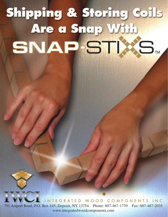# Shipping & Storing Coils Are a Snap With SNAP-STIXS.

791 Airport Road, P.O. Box 145, Deposit, NY 13754 Phone: 607-467-1739 Fax: 607-467-2035 www.integratedwoodcomponents.com INTEGRATED WOOD COMPONENTS INC.